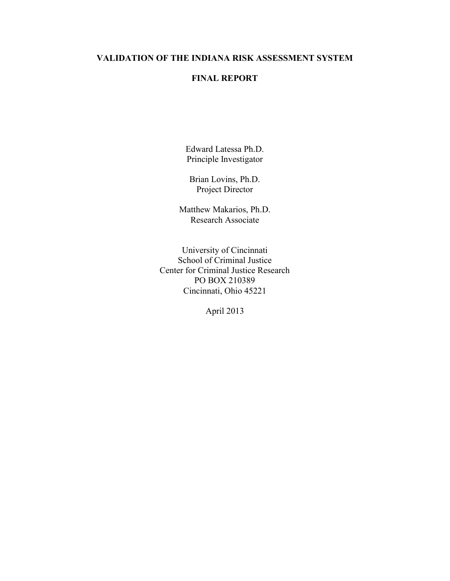# **VALIDATION OF THE INDIANA RISK ASSESSMENT SYSTEM**

# **FINAL REPORT**

Edward Latessa Ph.D. Principle Investigator

Brian Lovins, Ph.D. Project Director

Matthew Makarios, Ph.D. Research Associate

University of Cincinnati School of Criminal Justice Center for Criminal Justice Research PO BOX 210389 Cincinnati, Ohio 45221

April 2013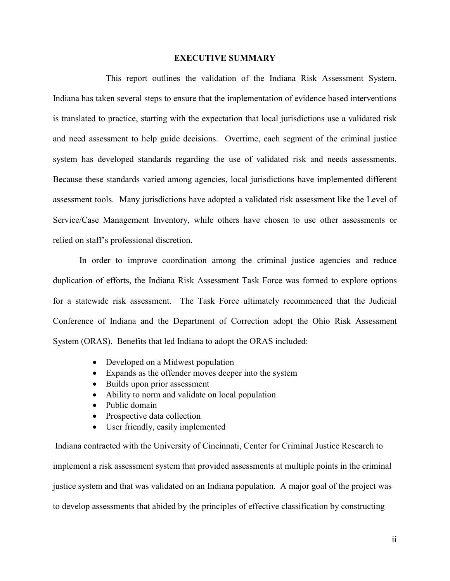### **EXECUTIVE SUMMARY**

This report outlines the validation of the Indiana Risk Assessment System. Indiana has taken several steps to ensure that the implementation of evidence based interventions is translated to practice, starting with the expectation that local jurisdictions use a validated risk and need assessment to help guide decisions. Overtime, each segment of the criminal justice system has developed standards regarding the use of validated risk and needs assessments. Because these standards varied among agencies, local jurisdictions have implemented different assessment tools. Many jurisdictions have adopted a validated risk assessment like the Level of Service/Case Management Inventory, while others have chosen to use other assessments or relied on staff's professional discretion.

In order to improve coordination among the criminal justice agencies and reduce duplication of efforts, the Indiana Risk Assessment Task Force was formed to explore options for a statewide risk assessment. The Task Force ultimately recommenced that the Judicial Conference of Indiana and the Department of Correction adopt the Ohio Risk Assessment System (ORAS). Benefits that led Indiana to adopt the ORAS included:

- Developed on a Midwest population
- Expands as the offender moves deeper into the system
- Builds upon prior assessment
- Ability to norm and validate on local population
- Public domain
- Prospective data collection
- User friendly, easily implemented

Indiana contracted with the University of Cincinnati, Center for Criminal Justice Research to implement a risk assessment system that provided assessments at multiple points in the criminal justice system and that was validated on an Indiana population. A major goal of the project was to develop assessments that abided by the principles of effective classification by constructing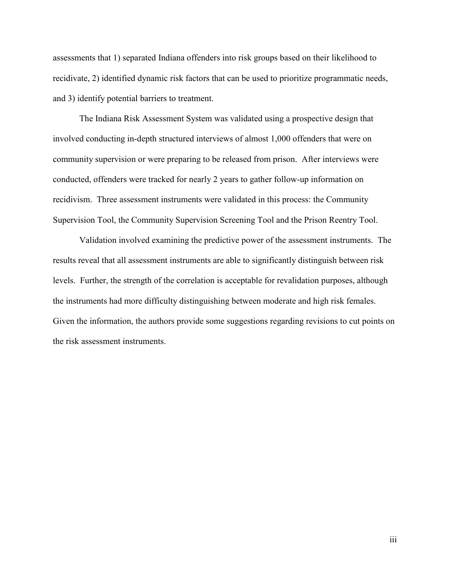assessments that 1) separated Indiana offenders into risk groups based on their likelihood to recidivate, 2) identified dynamic risk factors that can be used to prioritize programmatic needs, and 3) identify potential barriers to treatment.

The Indiana Risk Assessment System was validated using a prospective design that involved conducting in-depth structured interviews of almost 1,000 offenders that were on community supervision or were preparing to be released from prison. After interviews were conducted, offenders were tracked for nearly 2 years to gather follow-up information on recidivism. Three assessment instruments were validated in this process: the Community Supervision Tool, the Community Supervision Screening Tool and the Prison Reentry Tool.

Validation involved examining the predictive power of the assessment instruments. The results reveal that all assessment instruments are able to significantly distinguish between risk levels. Further, the strength of the correlation is acceptable for revalidation purposes, although the instruments had more difficulty distinguishing between moderate and high risk females. Given the information, the authors provide some suggestions regarding revisions to cut points on the risk assessment instruments.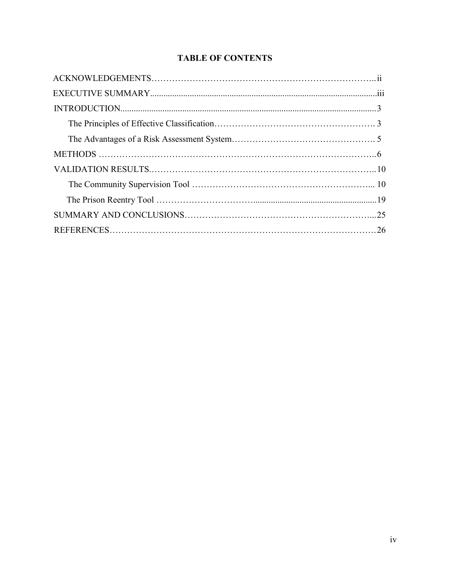# **TABLE OF CONTENTS**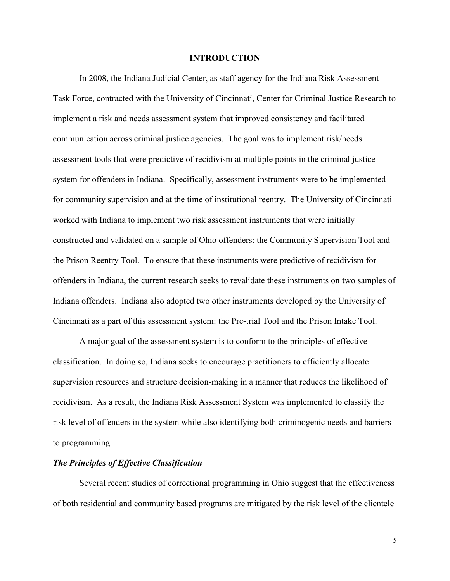### **INTRODUCTION**

In 2008, the Indiana Judicial Center, as staff agency for the Indiana Risk Assessment Task Force, contracted with the University of Cincinnati, Center for Criminal Justice Research to implement a risk and needs assessment system that improved consistency and facilitated communication across criminal justice agencies. The goal was to implement risk/needs assessment tools that were predictive of recidivism at multiple points in the criminal justice system for offenders in Indiana. Specifically, assessment instruments were to be implemented for community supervision and at the time of institutional reentry. The University of Cincinnati worked with Indiana to implement two risk assessment instruments that were initially constructed and validated on a sample of Ohio offenders: the Community Supervision Tool and the Prison Reentry Tool. To ensure that these instruments were predictive of recidivism for offenders in Indiana, the current research seeks to revalidate these instruments on two samples of Indiana offenders. Indiana also adopted two other instruments developed by the University of Cincinnati as a part of this assessment system: the Pre-trial Tool and the Prison Intake Tool.

A major goal of the assessment system is to conform to the principles of effective classification. In doing so, Indiana seeks to encourage practitioners to efficiently allocate supervision resources and structure decision-making in a manner that reduces the likelihood of recidivism. As a result, the Indiana Risk Assessment System was implemented to classify the risk level of offenders in the system while also identifying both criminogenic needs and barriers to programming.

### *The Principles of Effective Classification*

Several recent studies of correctional programming in Ohio suggest that the effectiveness of both residential and community based programs are mitigated by the risk level of the clientele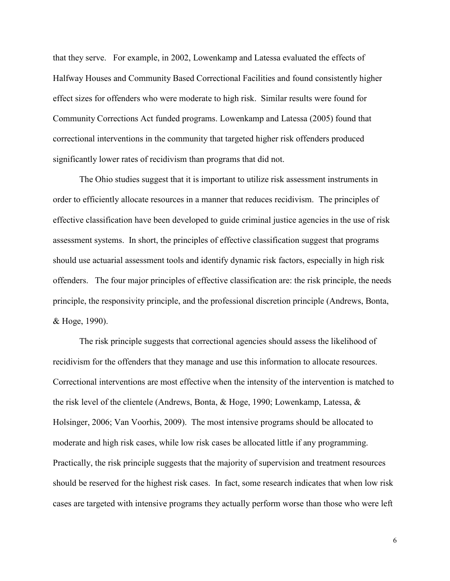that they serve. For example, in 2002, Lowenkamp and Latessa evaluated the effects of Halfway Houses and Community Based Correctional Facilities and found consistently higher effect sizes for offenders who were moderate to high risk. Similar results were found for Community Corrections Act funded programs. Lowenkamp and Latessa (2005) found that correctional interventions in the community that targeted higher risk offenders produced significantly lower rates of recidivism than programs that did not.

The Ohio studies suggest that it is important to utilize risk assessment instruments in order to efficiently allocate resources in a manner that reduces recidivism. The principles of effective classification have been developed to guide criminal justice agencies in the use of risk assessment systems. In short, the principles of effective classification suggest that programs should use actuarial assessment tools and identify dynamic risk factors, especially in high risk offenders. The four major principles of effective classification are: the risk principle, the needs principle, the responsivity principle, and the professional discretion principle (Andrews, Bonta, & Hoge, 1990).

The risk principle suggests that correctional agencies should assess the likelihood of recidivism for the offenders that they manage and use this information to allocate resources. Correctional interventions are most effective when the intensity of the intervention is matched to the risk level of the clientele (Andrews, Bonta, & Hoge, 1990; Lowenkamp, Latessa, & Holsinger, 2006; Van Voorhis, 2009). The most intensive programs should be allocated to moderate and high risk cases, while low risk cases be allocated little if any programming. Practically, the risk principle suggests that the majority of supervision and treatment resources should be reserved for the highest risk cases. In fact, some research indicates that when low risk cases are targeted with intensive programs they actually perform worse than those who were left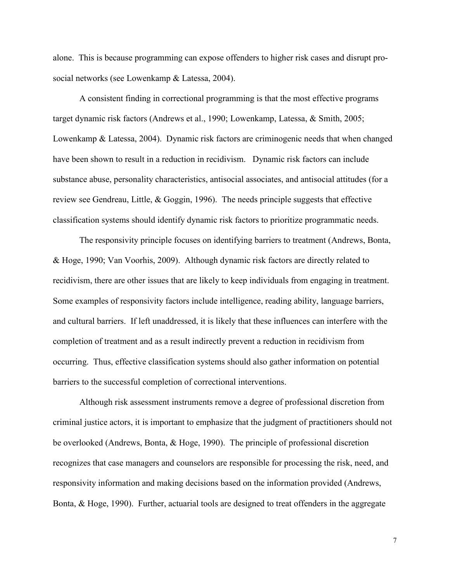alone. This is because programming can expose offenders to higher risk cases and disrupt prosocial networks (see Lowenkamp & Latessa, 2004).

A consistent finding in correctional programming is that the most effective programs target dynamic risk factors (Andrews et al., 1990; Lowenkamp, Latessa, & Smith, 2005; Lowenkamp & Latessa, 2004). Dynamic risk factors are criminogenic needs that when changed have been shown to result in a reduction in recidivism. Dynamic risk factors can include substance abuse, personality characteristics, antisocial associates, and antisocial attitudes (for a review see Gendreau, Little, & Goggin, 1996). The needs principle suggests that effective classification systems should identify dynamic risk factors to prioritize programmatic needs.

The responsivity principle focuses on identifying barriers to treatment (Andrews, Bonta, & Hoge, 1990; Van Voorhis, 2009). Although dynamic risk factors are directly related to recidivism, there are other issues that are likely to keep individuals from engaging in treatment. Some examples of responsivity factors include intelligence, reading ability, language barriers, and cultural barriers. If left unaddressed, it is likely that these influences can interfere with the completion of treatment and as a result indirectly prevent a reduction in recidivism from occurring. Thus, effective classification systems should also gather information on potential barriers to the successful completion of correctional interventions.

Although risk assessment instruments remove a degree of professional discretion from criminal justice actors, it is important to emphasize that the judgment of practitioners should not be overlooked (Andrews, Bonta, & Hoge, 1990). The principle of professional discretion recognizes that case managers and counselors are responsible for processing the risk, need, and responsivity information and making decisions based on the information provided (Andrews, Bonta, & Hoge, 1990). Further, actuarial tools are designed to treat offenders in the aggregate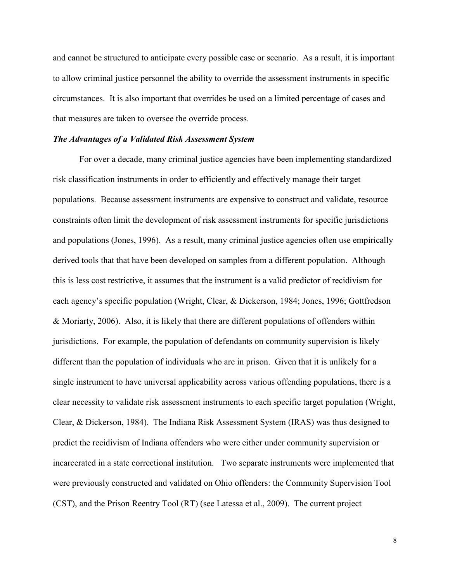and cannot be structured to anticipate every possible case or scenario. As a result, it is important to allow criminal justice personnel the ability to override the assessment instruments in specific circumstances. It is also important that overrides be used on a limited percentage of cases and that measures are taken to oversee the override process.

## *The Advantages of a Validated Risk Assessment System*

For over a decade, many criminal justice agencies have been implementing standardized risk classification instruments in order to efficiently and effectively manage their target populations. Because assessment instruments are expensive to construct and validate, resource constraints often limit the development of risk assessment instruments for specific jurisdictions and populations (Jones, 1996). As a result, many criminal justice agencies often use empirically derived tools that that have been developed on samples from a different population. Although this is less cost restrictive, it assumes that the instrument is a valid predictor of recidivism for each agency's specific population (Wright, Clear, & Dickerson, 1984; Jones, 1996; Gottfredson & Moriarty, 2006). Also, it is likely that there are different populations of offenders within jurisdictions. For example, the population of defendants on community supervision is likely different than the population of individuals who are in prison. Given that it is unlikely for a single instrument to have universal applicability across various offending populations, there is a clear necessity to validate risk assessment instruments to each specific target population (Wright, Clear, & Dickerson, 1984). The Indiana Risk Assessment System (IRAS) was thus designed to predict the recidivism of Indiana offenders who were either under community supervision or incarcerated in a state correctional institution. Two separate instruments were implemented that were previously constructed and validated on Ohio offenders: the Community Supervision Tool (CST), and the Prison Reentry Tool (RT) (see Latessa et al., 2009). The current project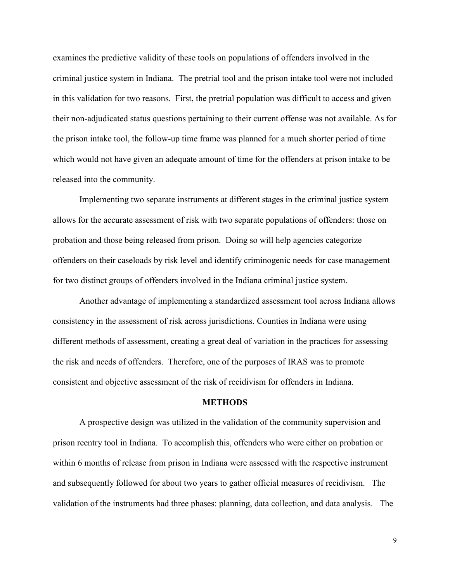examines the predictive validity of these tools on populations of offenders involved in the criminal justice system in Indiana. The pretrial tool and the prison intake tool were not included in this validation for two reasons. First, the pretrial population was difficult to access and given their non-adjudicated status questions pertaining to their current offense was not available. As for the prison intake tool, the follow-up time frame was planned for a much shorter period of time which would not have given an adequate amount of time for the offenders at prison intake to be released into the community.

Implementing two separate instruments at different stages in the criminal justice system allows for the accurate assessment of risk with two separate populations of offenders: those on probation and those being released from prison. Doing so will help agencies categorize offenders on their caseloads by risk level and identify criminogenic needs for case management for two distinct groups of offenders involved in the Indiana criminal justice system.

Another advantage of implementing a standardized assessment tool across Indiana allows consistency in the assessment of risk across jurisdictions. Counties in Indiana were using different methods of assessment, creating a great deal of variation in the practices for assessing the risk and needs of offenders. Therefore, one of the purposes of IRAS was to promote consistent and objective assessment of the risk of recidivism for offenders in Indiana.

### **METHODS**

A prospective design was utilized in the validation of the community supervision and prison reentry tool in Indiana. To accomplish this, offenders who were either on probation or within 6 months of release from prison in Indiana were assessed with the respective instrument and subsequently followed for about two years to gather official measures of recidivism. The validation of the instruments had three phases: planning, data collection, and data analysis. The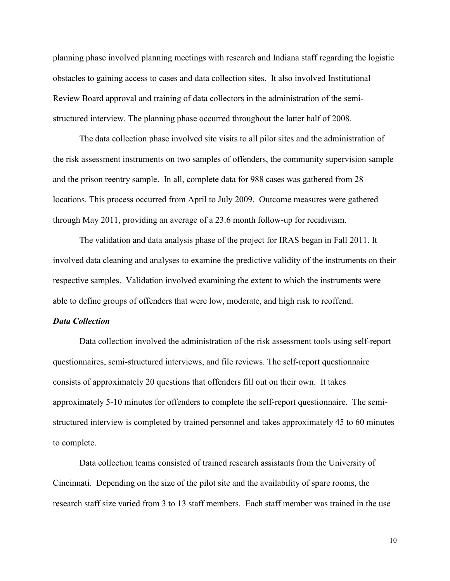planning phase involved planning meetings with research and Indiana staff regarding the logistic obstacles to gaining access to cases and data collection sites. It also involved Institutional Review Board approval and training of data collectors in the administration of the semistructured interview. The planning phase occurred throughout the latter half of 2008.

The data collection phase involved site visits to all pilot sites and the administration of the risk assessment instruments on two samples of offenders, the community supervision sample and the prison reentry sample. In all, complete data for 988 cases was gathered from 28 locations. This process occurred from April to July 2009. Outcome measures were gathered through May 2011, providing an average of a 23.6 month follow-up for recidivism.

The validation and data analysis phase of the project for IRAS began in Fall 2011. It involved data cleaning and analyses to examine the predictive validity of the instruments on their respective samples. Validation involved examining the extent to which the instruments were able to define groups of offenders that were low, moderate, and high risk to reoffend.

### *Data Collection*

Data collection involved the administration of the risk assessment tools using self-report questionnaires, semi-structured interviews, and file reviews. The self-report questionnaire consists of approximately 20 questions that offenders fill out on their own. It takes approximately 5-10 minutes for offenders to complete the self-report questionnaire. The semistructured interview is completed by trained personnel and takes approximately 45 to 60 minutes to complete.

Data collection teams consisted of trained research assistants from the University of Cincinnati. Depending on the size of the pilot site and the availability of spare rooms, the research staff size varied from 3 to 13 staff members. Each staff member was trained in the use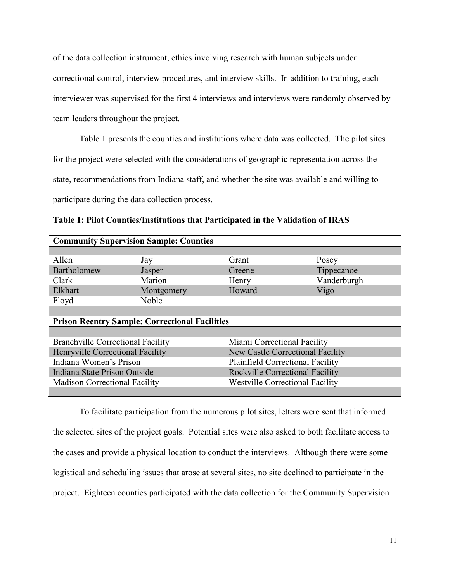of the data collection instrument, ethics involving research with human subjects under correctional control, interview procedures, and interview skills. In addition to training, each interviewer was supervised for the first 4 interviews and interviews were randomly observed by team leaders throughout the project.

Table 1 presents the counties and institutions where data was collected. The pilot sites for the project were selected with the considerations of geographic representation across the state, recommendations from Indiana staff, and whether the site was available and willing to participate during the data collection process.

**Table 1: Pilot Counties/Institutions that Participated in the Validation of IRAS**

| <b>Community Supervision Sample: Counties</b> |                                                       |                                         |             |  |
|-----------------------------------------------|-------------------------------------------------------|-----------------------------------------|-------------|--|
|                                               |                                                       |                                         |             |  |
| Allen                                         | Jay                                                   | Grant                                   | Posey       |  |
| Bartholomew                                   | Jasper                                                | Greene                                  | Tippecanoe  |  |
| Clark                                         | Marion                                                | Henry                                   | Vanderburgh |  |
| Elkhart                                       | Montgomery                                            | Howard                                  | Vigo        |  |
| Floyd                                         | Noble                                                 |                                         |             |  |
|                                               |                                                       |                                         |             |  |
|                                               |                                                       |                                         |             |  |
|                                               | <b>Prison Reentry Sample: Correctional Facilities</b> |                                         |             |  |
|                                               |                                                       |                                         |             |  |
| <b>Branchville Correctional Facility</b>      |                                                       | Miami Correctional Facility             |             |  |
| Henryville Correctional Facility              |                                                       | <b>New Castle Correctional Facility</b> |             |  |
| Indiana Women's Prison                        |                                                       | <b>Plainfield Correctional Facility</b> |             |  |
| Indiana State Prison Outside                  |                                                       | <b>Rockville Correctional Facility</b>  |             |  |
| <b>Madison Correctional Facility</b>          |                                                       | <b>Westville Correctional Facility</b>  |             |  |

To facilitate participation from the numerous pilot sites, letters were sent that informed the selected sites of the project goals. Potential sites were also asked to both facilitate access to the cases and provide a physical location to conduct the interviews. Although there were some logistical and scheduling issues that arose at several sites, no site declined to participate in the project. Eighteen counties participated with the data collection for the Community Supervision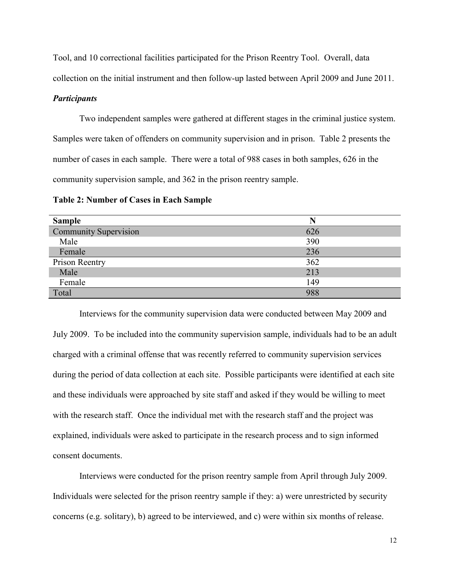Tool, and 10 correctional facilities participated for the Prison Reentry Tool. Overall, data

collection on the initial instrument and then follow-up lasted between April 2009 and June 2011.

### *Participants*

Two independent samples were gathered at different stages in the criminal justice system. Samples were taken of offenders on community supervision and in prison. Table 2 presents the number of cases in each sample. There were a total of 988 cases in both samples, 626 in the community supervision sample, and 362 in the prison reentry sample.

| <b>Sample</b>                | N   |
|------------------------------|-----|
| <b>Community Supervision</b> | 626 |
| Male                         | 390 |
| Female                       | 236 |
| Prison Reentry               | 362 |
| Male                         | 213 |
| Female                       | 149 |
| Total                        | 988 |

**Table 2: Number of Cases in Each Sample**

Interviews for the community supervision data were conducted between May 2009 and July 2009. To be included into the community supervision sample, individuals had to be an adult charged with a criminal offense that was recently referred to community supervision services during the period of data collection at each site. Possible participants were identified at each site and these individuals were approached by site staff and asked if they would be willing to meet with the research staff. Once the individual met with the research staff and the project was explained, individuals were asked to participate in the research process and to sign informed consent documents.

Interviews were conducted for the prison reentry sample from April through July 2009. Individuals were selected for the prison reentry sample if they: a) were unrestricted by security concerns (e.g. solitary), b) agreed to be interviewed, and c) were within six months of release.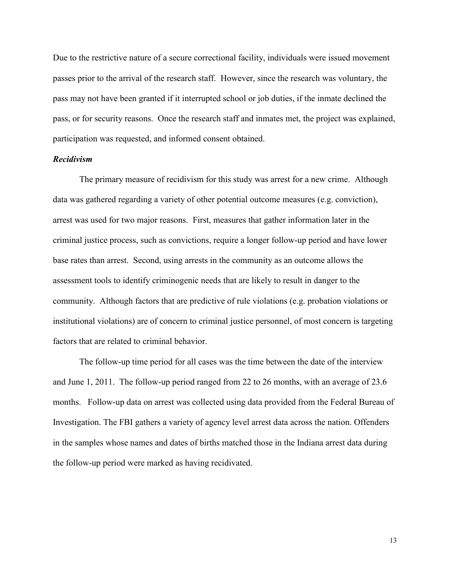Due to the restrictive nature of a secure correctional facility, individuals were issued movement passes prior to the arrival of the research staff. However, since the research was voluntary, the pass may not have been granted if it interrupted school or job duties, if the inmate declined the pass, or for security reasons. Once the research staff and inmates met, the project was explained, participation was requested, and informed consent obtained.

### *Recidivism*

The primary measure of recidivism for this study was arrest for a new crime. Although data was gathered regarding a variety of other potential outcome measures (e.g. conviction), arrest was used for two major reasons. First, measures that gather information later in the criminal justice process, such as convictions, require a longer follow-up period and have lower base rates than arrest. Second, using arrests in the community as an outcome allows the assessment tools to identify criminogenic needs that are likely to result in danger to the community. Although factors that are predictive of rule violations (e.g. probation violations or institutional violations) are of concern to criminal justice personnel, of most concern is targeting factors that are related to criminal behavior.

The follow-up time period for all cases was the time between the date of the interview and June 1, 2011. The follow-up period ranged from 22 to 26 months, with an average of 23.6 months. Follow-up data on arrest was collected using data provided from the Federal Bureau of Investigation. The FBI gathers a variety of agency level arrest data across the nation. Offenders in the samples whose names and dates of births matched those in the Indiana arrest data during the follow-up period were marked as having recidivated.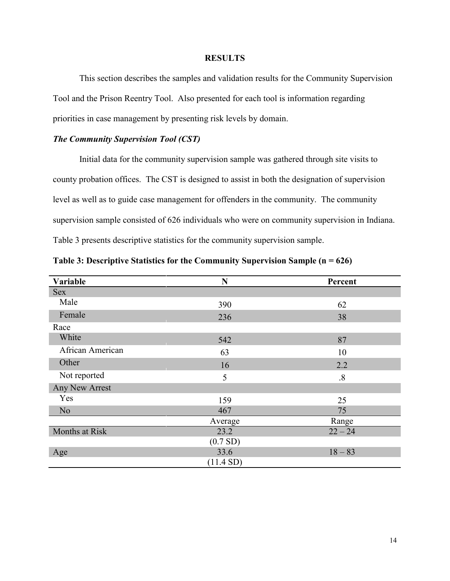### **RESULTS**

This section describes the samples and validation results for the Community Supervision Tool and the Prison Reentry Tool. Also presented for each tool is information regarding priorities in case management by presenting risk levels by domain.

# *The Community Supervision Tool (CST)*

Initial data for the community supervision sample was gathered through site visits to county probation offices. The CST is designed to assist in both the designation of supervision level as well as to guide case management for offenders in the community. The community supervision sample consisted of 626 individuals who were on community supervision in Indiana. Table 3 presents descriptive statistics for the community supervision sample.

| Variable         | N                      | Percent           |
|------------------|------------------------|-------------------|
| <b>Sex</b>       |                        |                   |
| Male             | 390                    | 62                |
| Female           | 236                    | 38                |
| Race             |                        |                   |
| White            | 542                    | 87                |
| African American | 63                     | 10                |
| Other            | 16                     | 2.2               |
| Not reported     | 5                      | $\boldsymbol{.8}$ |
| Any New Arrest   |                        |                   |
| Yes              | 159                    | 25                |
| N <sub>o</sub>   | 467                    | 75                |
|                  | Average                | Range             |
| Months at Risk   | 23.2                   | $22 - 24$         |
|                  | (0.7 S <sub>D</sub> )  |                   |
| Age              | 33.6                   | $18 - 83$         |
|                  | (11.4 S <sub>D</sub> ) |                   |

| Table 3: Descriptive Statistics for the Community Supervision Sample ( $n = 626$ ) |  |  |  |  |
|------------------------------------------------------------------------------------|--|--|--|--|
|------------------------------------------------------------------------------------|--|--|--|--|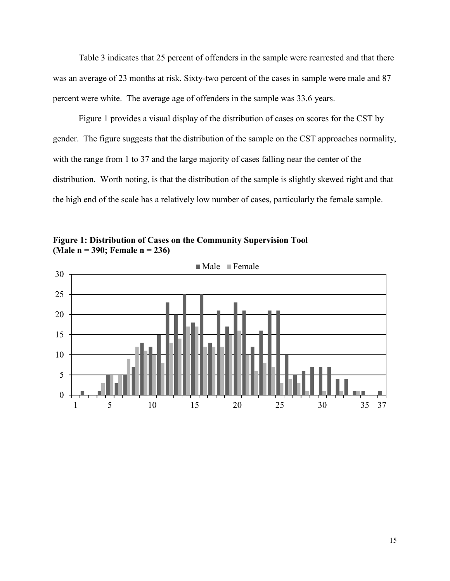Table 3 indicates that 25 percent of offenders in the sample were rearrested and that there was an average of 23 months at risk. Sixty-two percent of the cases in sample were male and 87 percent were white. The average age of offenders in the sample was 33.6 years.

Figure 1 provides a visual display of the distribution of cases on scores for the CST by gender. The figure suggests that the distribution of the sample on the CST approaches normality, with the range from 1 to 37 and the large majority of cases falling near the center of the distribution. Worth noting, is that the distribution of the sample is slightly skewed right and that the high end of the scale has a relatively low number of cases, particularly the female sample.

**Figure 1: Distribution of Cases on the Community Supervision Tool (Male n = 390; Female n = 236)**

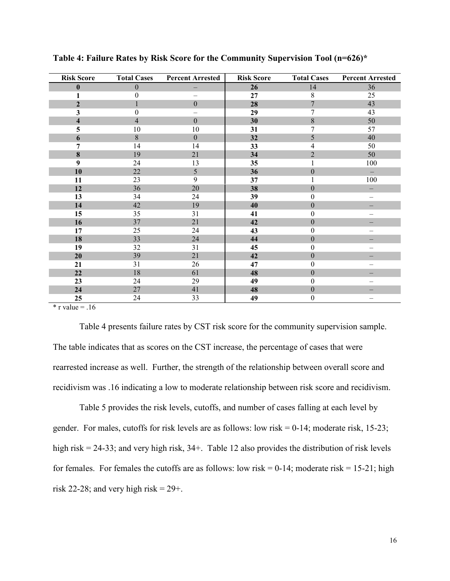| <b>Risk Score</b>       | <b>Total Cases</b> | <b>Percent Arrested</b> | <b>Risk Score</b> | <b>Total Cases</b> | <b>Percent Arrested</b> |
|-------------------------|--------------------|-------------------------|-------------------|--------------------|-------------------------|
| $\bf{0}$                | $\theta$           |                         | 26                | 14                 | 36                      |
|                         | $\mathbf{0}$       |                         | 27                | $8\,$              | 25                      |
| $\mathbf{2}$            |                    | $\overline{0}$          | 28                | $\overline{7}$     | 43                      |
| 3                       | $\Omega$           |                         | 29                | 7                  | 43                      |
| $\overline{\mathbf{4}}$ | $\overline{4}$     | $\overline{0}$          | 30                | $\,8\,$            | 50                      |
| 5                       | 10                 | 10                      | 31                | 7                  | 57                      |
| 6                       | 8                  | $\overline{0}$          | 32                | 5                  | 40                      |
| 7                       | 14                 | 14                      | 33                | 4                  | 50                      |
| 8                       | 19                 | 21                      | 34                | $\overline{2}$     | 50                      |
| 9                       | 24                 | 13                      | 35                |                    | 100                     |
| 10                      | 22                 | 5                       | 36                | $\boldsymbol{0}$   |                         |
| 11                      | 23                 | 9                       | 37                |                    | 100                     |
| 12                      | 36                 | 20                      | 38                | $\overline{0}$     |                         |
| 13                      | 34                 | 24                      | 39                | $\boldsymbol{0}$   | $\qquad \qquad -$       |
| 14                      | 42                 | 19                      | 40                | $\boldsymbol{0}$   |                         |
| 15                      | 35                 | 31                      | 41                | 0                  |                         |
| 16                      | 37                 | 21                      | 42                | $\boldsymbol{0}$   |                         |
| 17                      | 25                 | 24                      | 43                | $\boldsymbol{0}$   |                         |
| 18                      | 33                 | 24                      | 44                | $\boldsymbol{0}$   |                         |
| 19                      | 32                 | 31                      | 45                | $\boldsymbol{0}$   |                         |
| 20                      | 39                 | 21                      | 42                | $\boldsymbol{0}$   |                         |
| 21                      | 31                 | 26                      | 47                | $\boldsymbol{0}$   |                         |
| 22                      | 18                 | 61                      | 48                | $\boldsymbol{0}$   |                         |
| 23                      | 24                 | 29                      | 49                | $\boldsymbol{0}$   |                         |
| 24                      | 27                 | 41                      | 48                | $\boldsymbol{0}$   |                         |
| 25                      | 24                 | 33                      | 49                | $\boldsymbol{0}$   |                         |

**Table 4: Failure Rates by Risk Score for the Community Supervision Tool (n=626)\***

 $*$  r value = .16

Table 4 presents failure rates by CST risk score for the community supervision sample. The table indicates that as scores on the CST increase, the percentage of cases that were rearrested increase as well. Further, the strength of the relationship between overall score and recidivism was .16 indicating a low to moderate relationship between risk score and recidivism.

Table 5 provides the risk levels, cutoffs, and number of cases falling at each level by gender. For males, cutoffs for risk levels are as follows: low risk = 0-14; moderate risk, 15-23; high risk = 24-33; and very high risk, 34+. Table 12 also provides the distribution of risk levels for females. For females the cutoffs are as follows: low risk  $= 0-14$ ; moderate risk  $= 15-21$ ; high risk 22-28; and very high risk =  $29+$ .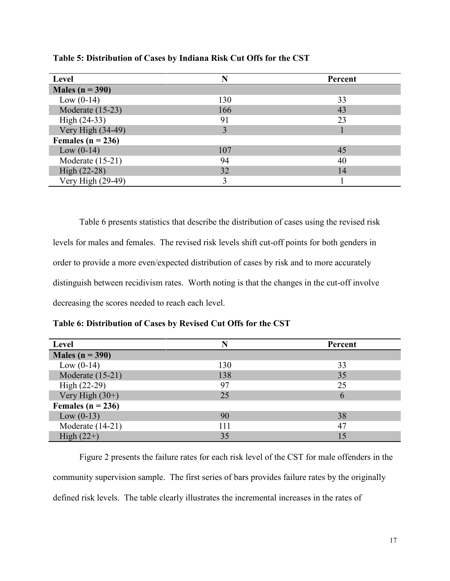| Level                 | N   | Percent |
|-----------------------|-----|---------|
| Males ( $n = 390$ )   |     |         |
| Low $(0-14)$          | 130 | 33      |
| Moderate (15-23)      | 166 | 43      |
| High (24-33)          | 91  | 23      |
| Very High (34-49)     |     |         |
| Females ( $n = 236$ ) |     |         |
| Low $(0-14)$          | 107 | 45      |
| Moderate (15-21)      | 94  | 40      |
| High (22-28)          | 32  | 14      |
| Very High (29-49)     |     |         |

**Table 5: Distribution of Cases by Indiana Risk Cut Offs for the CST**

Table 6 presents statistics that describe the distribution of cases using the revised risk levels for males and females. The revised risk levels shift cut-off points for both genders in order to provide a more even/expected distribution of cases by risk and to more accurately distinguish between recidivism rates. Worth noting is that the changes in the cut-off involve decreasing the scores needed to reach each level.

**Table 6: Distribution of Cases by Revised Cut Offs for the CST**

| Level                 |     | Percent |
|-----------------------|-----|---------|
| Males ( $n = 390$ )   |     |         |
| Low $(0-14)$          | 130 | 33      |
| Moderate (15-21)      | 138 | 35      |
| $High (22-29)$        | 97  | 25      |
| Very High $(30+)$     | 25  | 6       |
| Females ( $n = 236$ ) |     |         |
| Low $(0-13)$          | 90  | 38      |
| Moderate (14-21)      | 111 | 47      |
| High $(22+)$          | 35  |         |

Figure 2 presents the failure rates for each risk level of the CST for male offenders in the community supervision sample. The first series of bars provides failure rates by the originally defined risk levels. The table clearly illustrates the incremental increases in the rates of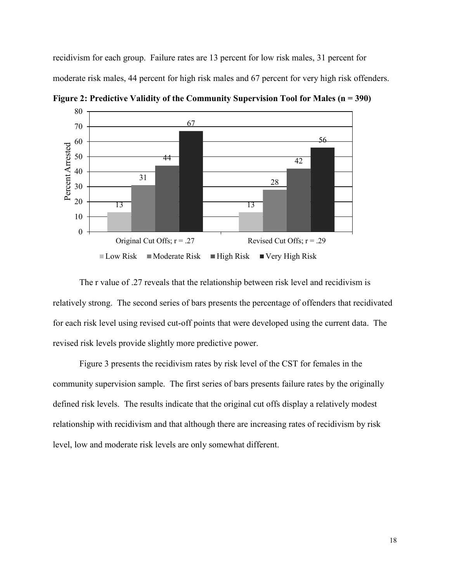recidivism for each group. Failure rates are 13 percent for low risk males, 31 percent for moderate risk males, 44 percent for high risk males and 67 percent for very high risk offenders.



**Figure 2: Predictive Validity of the Community Supervision Tool for Males (n = 390)**

The r value of .27 reveals that the relationship between risk level and recidivism is relatively strong. The second series of bars presents the percentage of offenders that recidivated for each risk level using revised cut-off points that were developed using the current data. The revised risk levels provide slightly more predictive power.

Figure 3 presents the recidivism rates by risk level of the CST for females in the community supervision sample. The first series of bars presents failure rates by the originally defined risk levels. The results indicate that the original cut offs display a relatively modest relationship with recidivism and that although there are increasing rates of recidivism by risk level, low and moderate risk levels are only somewhat different.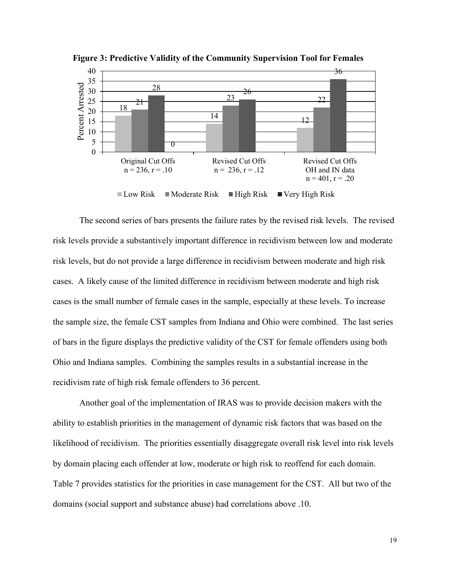

**Figure 3: Predictive Validity of the Community Supervision Tool for Females**

The second series of bars presents the failure rates by the revised risk levels. The revised risk levels provide a substantively important difference in recidivism between low and moderate risk levels, but do not provide a large difference in recidivism between moderate and high risk cases. A likely cause of the limited difference in recidivism between moderate and high risk cases is the small number of female cases in the sample, especially at these levels. To increase the sample size, the female CST samples from Indiana and Ohio were combined. The last series of bars in the figure displays the predictive validity of the CST for female offenders using both Ohio and Indiana samples. Combining the samples results in a substantial increase in the recidivism rate of high risk female offenders to 36 percent.

Another goal of the implementation of IRAS was to provide decision makers with the ability to establish priorities in the management of dynamic risk factors that was based on the likelihood of recidivism. The priorities essentially disaggregate overall risk level into risk levels by domain placing each offender at low, moderate or high risk to reoffend for each domain. Table 7 provides statistics for the priorities in case management for the CST. All but two of the domains (social support and substance abuse) had correlations above .10.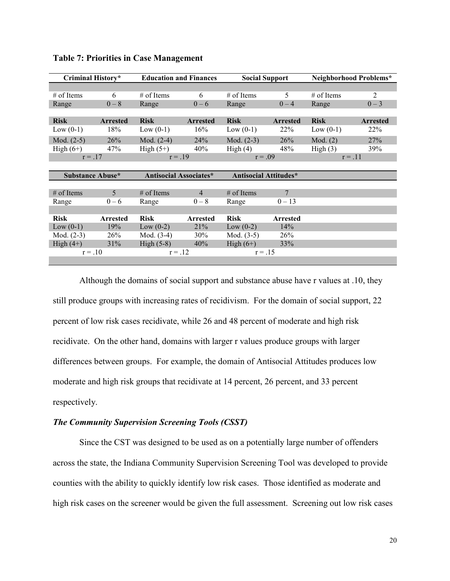| Criminal History*       |                 | <b>Education and Finances</b> |                 | <b>Social Support</b>        |                 | Neighborhood Problems* |                 |
|-------------------------|-----------------|-------------------------------|-----------------|------------------------------|-----------------|------------------------|-----------------|
|                         |                 |                               |                 |                              |                 |                        |                 |
| $#$ of Items            | 6               | $#$ of Items                  | 6               | $#$ of Items                 | 5.              | $#$ of Items           | 2               |
| Range                   | $0 - 8$         | Range                         | $0 - 6$         | Range                        | $0 - 4$         | Range                  | $0 - 3$         |
|                         |                 |                               |                 |                              |                 |                        |                 |
| <b>Risk</b>             | <b>Arrested</b> | <b>Risk</b>                   | <b>Arrested</b> | <b>Risk</b>                  | <b>Arrested</b> | <b>Risk</b>            | <b>Arrested</b> |
| Low $(0-1)$             | 18%             | Low $(0-1)$                   | 16%             | Low $(0-1)$                  | 22%             | Low $(0-1)$            | 22%             |
| Mod. $(2-5)$            | 26%             | Mod. $(2-4)$                  | 24%             | Mod. $(2-3)$                 | 26%             | Mod. (2)               | 27%             |
| High $(6+)$             | 47%             | High $(5+)$                   | 40%             | High(4)                      | 48%             | High(3)                | 39%             |
| $r = .17$               |                 | $r = .19$                     |                 | $r = .09$                    |                 | $r = .11$              |                 |
|                         |                 |                               |                 |                              |                 |                        |                 |
| <b>Substance Abuse*</b> |                 | Antisocial Associates*        |                 | <b>Antisocial Attitudes*</b> |                 |                        |                 |
|                         |                 |                               |                 |                              |                 |                        |                 |
| $#$ of Items            | 5               | $#$ of Items                  | $\overline{4}$  | $#$ of Items                 | 7               |                        |                 |
| Range                   | $0 - 6$         | Range                         | $0 - 8$         | Range                        | $0 - 13$        |                        |                 |
|                         |                 |                               |                 |                              |                 |                        |                 |
| <b>Risk</b>             | <b>Arrested</b> | <b>Risk</b>                   | <b>Arrested</b> | <b>Risk</b>                  | <b>Arrested</b> |                        |                 |
| Low $(0-1)$             | 19%             | Low $(0-2)$                   | 21%             | Low $(0-2)$                  | 14%             |                        |                 |
| Mod. $(2-3)$            | 26%             | Mod. $(3-4)$                  | 30%             | Mod. $(3-5)$                 | 26%             |                        |                 |
| High $(4+)$             | 31%             | High $(5-8)$                  | 40%             | High $(6+)$                  | 33%             |                        |                 |
| $r = .10$               |                 | $r = .12$                     |                 | $r = .15$                    |                 |                        |                 |
|                         |                 |                               |                 |                              |                 |                        |                 |

**Table 7: Priorities in Case Management**

Although the domains of social support and substance abuse have r values at .10, they still produce groups with increasing rates of recidivism. For the domain of social support, 22 percent of low risk cases recidivate, while 26 and 48 percent of moderate and high risk recidivate. On the other hand, domains with larger r values produce groups with larger differences between groups. For example, the domain of Antisocial Attitudes produces low moderate and high risk groups that recidivate at 14 percent, 26 percent, and 33 percent respectively.

# *The Community Supervision Screening Tools (CSST)*

Since the CST was designed to be used as on a potentially large number of offenders across the state, the Indiana Community Supervision Screening Tool was developed to provide counties with the ability to quickly identify low risk cases. Those identified as moderate and high risk cases on the screener would be given the full assessment. Screening out low risk cases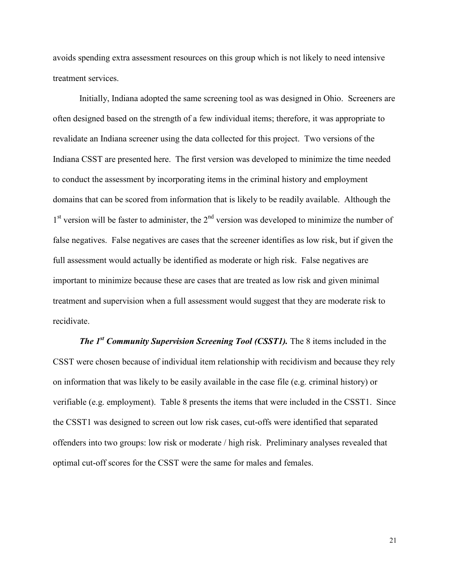avoids spending extra assessment resources on this group which is not likely to need intensive treatment services.

Initially, Indiana adopted the same screening tool as was designed in Ohio. Screeners are often designed based on the strength of a few individual items; therefore, it was appropriate to revalidate an Indiana screener using the data collected for this project. Two versions of the Indiana CSST are presented here. The first version was developed to minimize the time needed to conduct the assessment by incorporating items in the criminal history and employment domains that can be scored from information that is likely to be readily available. Although the  $1<sup>st</sup>$  version will be faster to administer, the  $2<sup>nd</sup>$  version was developed to minimize the number of false negatives. False negatives are cases that the screener identifies as low risk, but if given the full assessment would actually be identified as moderate or high risk. False negatives are important to minimize because these are cases that are treated as low risk and given minimal treatment and supervision when a full assessment would suggest that they are moderate risk to recidivate.

*The 1st Community Supervision Screening Tool (CSST1).* The 8 items included in the CSST were chosen because of individual item relationship with recidivism and because they rely on information that was likely to be easily available in the case file (e.g. criminal history) or verifiable (e.g. employment). Table 8 presents the items that were included in the CSST1. Since the CSST1 was designed to screen out low risk cases, cut-offs were identified that separated offenders into two groups: low risk or moderate / high risk. Preliminary analyses revealed that optimal cut-off scores for the CSST were the same for males and females.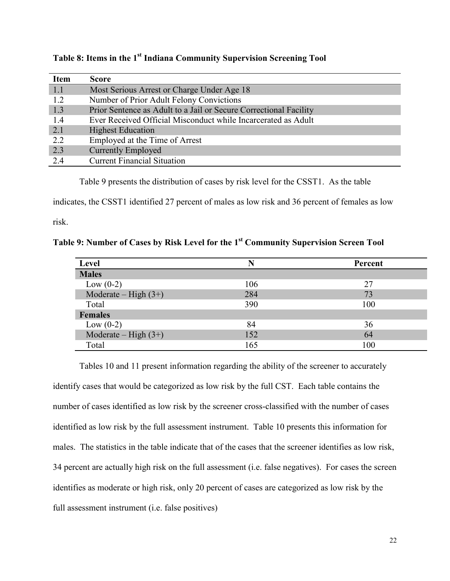| <b>Item</b> | <b>Score</b>                                                      |
|-------------|-------------------------------------------------------------------|
| 1.1         | Most Serious Arrest or Charge Under Age 18                        |
| 1.2         | Number of Prior Adult Felony Convictions                          |
| 1.3         | Prior Sentence as Adult to a Jail or Secure Correctional Facility |
| 1.4         | Ever Received Official Misconduct while Incarcerated as Adult     |
| 2.1         | <b>Highest Education</b>                                          |
| 2.2         | Employed at the Time of Arrest                                    |
| 2.3         | <b>Currently Employed</b>                                         |
| 2.4         | <b>Current Financial Situation</b>                                |

**Table 8: Items in the 1 st Indiana Community Supervision Screening Tool** 

Table 9 presents the distribution of cases by risk level for the CSST1. As the table

indicates, the CSST1 identified 27 percent of males as low risk and 36 percent of females as low

risk.

**Table 9: Number of Cases by Risk Level for the 1 st Community Supervision Screen Tool**

| Level                  |     | Percent |
|------------------------|-----|---------|
| <b>Males</b>           |     |         |
| Low $(0-2)$            | 106 | 27      |
| Moderate – High $(3+)$ | 284 | 73      |
| Total                  | 390 | 100     |
| <b>Females</b>         |     |         |
| Low $(0-2)$            | 84  | 36      |
| Moderate – High $(3+)$ | 152 | 64      |
| Total                  | 165 | 100     |

Tables 10 and 11 present information regarding the ability of the screener to accurately identify cases that would be categorized as low risk by the full CST. Each table contains the number of cases identified as low risk by the screener cross-classified with the number of cases identified as low risk by the full assessment instrument. Table 10 presents this information for males. The statistics in the table indicate that of the cases that the screener identifies as low risk, 34 percent are actually high risk on the full assessment (i.e. false negatives). For cases the screen identifies as moderate or high risk, only 20 percent of cases are categorized as low risk by the full assessment instrument (i.e. false positives)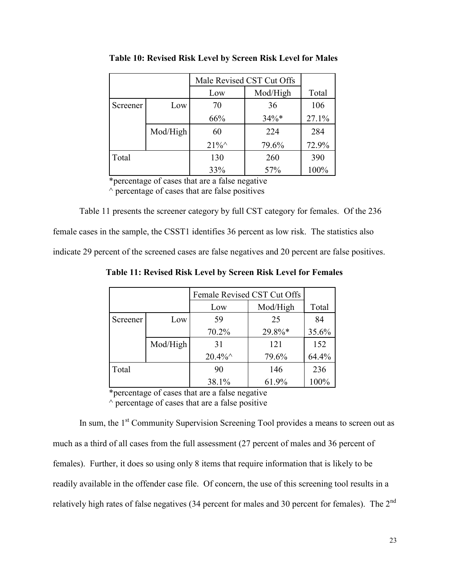|          |          | Male Revised CST Cut Offs |          |       |
|----------|----------|---------------------------|----------|-------|
|          |          | Low                       | Mod/High | Total |
| Screener | Low      | 70                        | 36       | 106   |
|          |          | 66%                       | $34\%*$  | 27.1% |
|          | Mod/High | 60                        | 224      | 284   |
|          |          | $21\%^{\wedge}$           | 79.6%    | 72.9% |
| Total    |          | 130                       | 260      | 390   |
|          |          | 33%                       | 57%      | 100%  |

**Table 10: Revised Risk Level by Screen Risk Level for Males**

\*percentage of cases that are a false negative  $\land$  percentage of cases that are false positives

Table 11 presents the screener category by full CST category for females. Of the 236

female cases in the sample, the CSST1 identifies 36 percent as low risk. The statistics also

indicate 29 percent of the screened cases are false negatives and 20 percent are false positives.

**Table 11: Revised Risk Level by Screen Risk Level for Females**

|          |          | Female Revised CST Cut Offs |          |       |
|----------|----------|-----------------------------|----------|-------|
|          |          | Low                         | Mod/High | Total |
| Screener | Low      | 59                          | 25       | 84    |
|          |          | 70.2%                       | 29.8%*   | 35.6% |
|          | Mod/High | 31                          | 121      | 152   |
|          |          | $20.4\%$                    | 79.6%    | 64.4% |
| Total    |          | 90                          | 146      | 236   |
|          |          | 38.1%                       | 61.9%    | 100%  |

\*percentage of cases that are a false negative

 $\land$  percentage of cases that are a false positive

In sum, the 1<sup>st</sup> Community Supervision Screening Tool provides a means to screen out as much as a third of all cases from the full assessment (27 percent of males and 36 percent of females). Further, it does so using only 8 items that require information that is likely to be readily available in the offender case file. Of concern, the use of this screening tool results in a relatively high rates of false negatives (34 percent for males and 30 percent for females). The 2<sup>nd</sup>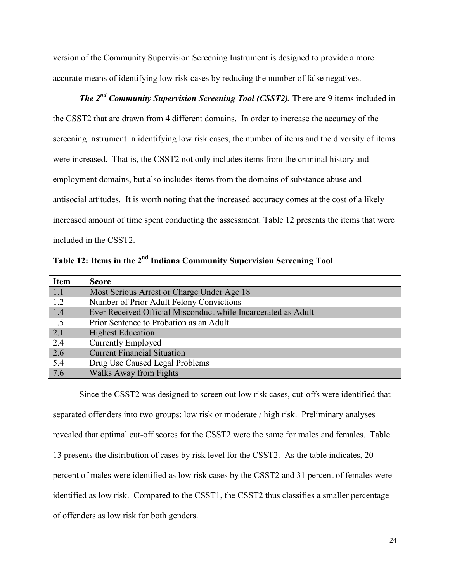version of the Community Supervision Screening Instrument is designed to provide a more accurate means of identifying low risk cases by reducing the number of false negatives.

*The 2nd Community Supervision Screening Tool (CSST2).* There are 9 items included in the CSST2 that are drawn from 4 different domains. In order to increase the accuracy of the screening instrument in identifying low risk cases, the number of items and the diversity of items were increased. That is, the CSST2 not only includes items from the criminal history and employment domains, but also includes items from the domains of substance abuse and antisocial attitudes. It is worth noting that the increased accuracy comes at the cost of a likely increased amount of time spent conducting the assessment. Table 12 presents the items that were included in the CSST2.

Table 12: Items in the 2<sup>nd</sup> Indiana Community Supervision Screening Tool

| <b>Item</b> | <b>Score</b>                                                  |
|-------------|---------------------------------------------------------------|
| 1.1         | Most Serious Arrest or Charge Under Age 18                    |
| 1.2         | Number of Prior Adult Felony Convictions                      |
| 1.4         | Ever Received Official Misconduct while Incarcerated as Adult |
| 1.5         | Prior Sentence to Probation as an Adult                       |
| 2.1         | <b>Highest Education</b>                                      |
| 2.4         | <b>Currently Employed</b>                                     |
| 2.6         | <b>Current Financial Situation</b>                            |
| 5.4         | Drug Use Caused Legal Problems                                |
| 7.6         | <b>Walks Away from Fights</b>                                 |

Since the CSST2 was designed to screen out low risk cases, cut-offs were identified that separated offenders into two groups: low risk or moderate / high risk. Preliminary analyses revealed that optimal cut-off scores for the CSST2 were the same for males and females. Table 13 presents the distribution of cases by risk level for the CSST2. As the table indicates, 20 percent of males were identified as low risk cases by the CSST2 and 31 percent of females were identified as low risk. Compared to the CSST1, the CSST2 thus classifies a smaller percentage of offenders as low risk for both genders.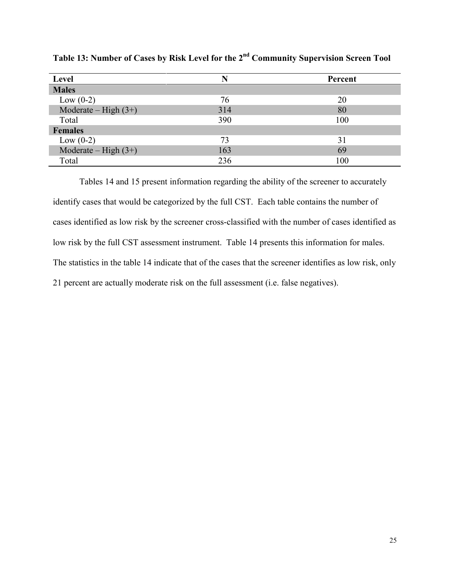| Level                  |     | Percent |
|------------------------|-----|---------|
| <b>Males</b>           |     |         |
| Low $(0-2)$            | 76  | 20      |
| Moderate – High $(3+)$ | 314 | 80      |
| Total                  | 390 | 100     |
| <b>Females</b>         |     |         |
| Low $(0-2)$            | 73  | 31      |
| Moderate – High $(3+)$ | 163 | 69      |
| Total                  | 236 | 100     |

**Table 13: Number of Cases by Risk Level for the 2 nd Community Supervision Screen Tool**

Tables 14 and 15 present information regarding the ability of the screener to accurately identify cases that would be categorized by the full CST. Each table contains the number of cases identified as low risk by the screener cross-classified with the number of cases identified as low risk by the full CST assessment instrument. Table 14 presents this information for males. The statistics in the table 14 indicate that of the cases that the screener identifies as low risk, only 21 percent are actually moderate risk on the full assessment (i.e. false negatives).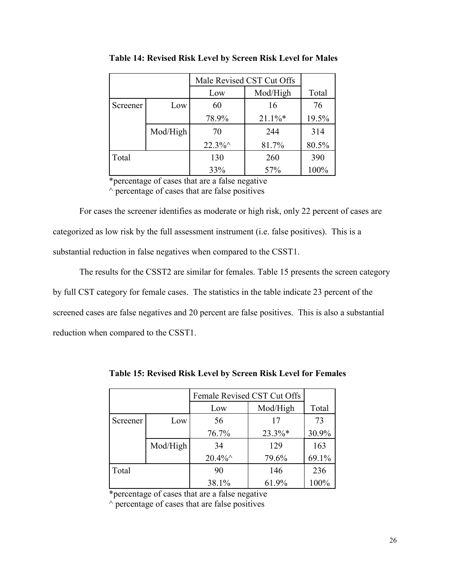|          |          | Male Revised CST Cut Offs |            |       |
|----------|----------|---------------------------|------------|-------|
|          |          | Low                       | Mod/High   | Total |
| Screener | Low      | 60                        | 16         | 76    |
|          |          | 78.9%                     | $21.1\%$ * | 19.5% |
|          | Mod/High | 70                        | 244        | 314   |
|          |          | $22.3\%$                  | 81.7%      | 80.5% |
| Total    |          | 130                       | 260        | 390   |
|          |          | 33%                       | 57%        | 100%  |

**Table 14: Revised Risk Level by Screen Risk Level for Males**

\*percentage of cases that are a false negative  $\land$  percentage of cases that are false positives

For cases the screener identifies as moderate or high risk, only 22 percent of cases are categorized as low risk by the full assessment instrument (i.e. false positives). This is a substantial reduction in false negatives when compared to the CSST1.

The results for the CSST2 are similar for females. Table 15 presents the screen category by full CST category for female cases. The statistics in the table indicate 23 percent of the screened cases are false negatives and 20 percent are false positives. This is also a substantial reduction when compared to the CSST1.

|          |          | Female Revised CST Cut Offs |           |       |
|----------|----------|-----------------------------|-----------|-------|
|          |          | Low                         | Mod/High  | Total |
| Screener | Low      | 56                          | 17        | 73    |
|          |          | 76.7%                       | $23.3\%*$ | 30.9% |
|          | Mod/High | 34                          | 129       | 163   |
|          |          | $20.4\%$                    | 79.6%     | 69.1% |
| Total    |          | 90                          | 146       | 236   |
|          |          | 38.1%                       | 61.9%     | 100%  |

**Table 15: Revised Risk Level by Screen Risk Level for Females**

\*percentage of cases that are a false negative

 $\land$  percentage of cases that are false positives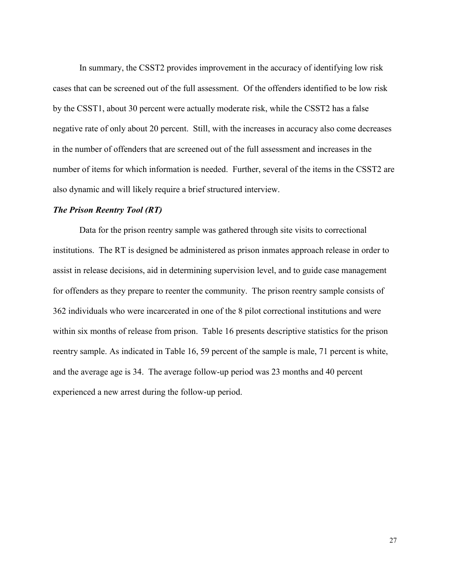In summary, the CSST2 provides improvement in the accuracy of identifying low risk cases that can be screened out of the full assessment. Of the offenders identified to be low risk by the CSST1, about 30 percent were actually moderate risk, while the CSST2 has a false negative rate of only about 20 percent. Still, with the increases in accuracy also come decreases in the number of offenders that are screened out of the full assessment and increases in the number of items for which information is needed. Further, several of the items in the CSST2 are also dynamic and will likely require a brief structured interview.

### *The Prison Reentry Tool (RT)*

Data for the prison reentry sample was gathered through site visits to correctional institutions. The RT is designed be administered as prison inmates approach release in order to assist in release decisions, aid in determining supervision level, and to guide case management for offenders as they prepare to reenter the community. The prison reentry sample consists of 362 individuals who were incarcerated in one of the 8 pilot correctional institutions and were within six months of release from prison. Table 16 presents descriptive statistics for the prison reentry sample. As indicated in Table 16, 59 percent of the sample is male, 71 percent is white, and the average age is 34. The average follow-up period was 23 months and 40 percent experienced a new arrest during the follow-up period.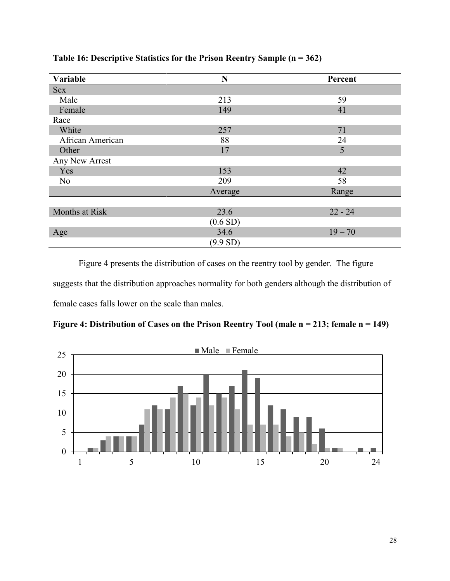| Variable         | N                     | Percent   |  |
|------------------|-----------------------|-----------|--|
| <b>Sex</b>       |                       |           |  |
| Male             | 213                   | 59        |  |
| Female           | 149                   | 41        |  |
| Race             |                       |           |  |
| White            | 257                   | 71        |  |
| African American | 88                    | 24        |  |
| Other            | 17                    | 5         |  |
| Any New Arrest   |                       |           |  |
| Yes              | 153                   | 42        |  |
| No               | 209                   | 58        |  |
|                  | Average               | Range     |  |
|                  |                       |           |  |
| Months at Risk   | 23.6                  | $22 - 24$ |  |
|                  | (0.6 S <sub>D</sub> ) |           |  |
| Age              | 34.6                  | $19 - 70$ |  |
|                  | (9.9 S <sub>D</sub> ) |           |  |

# **Table 16: Descriptive Statistics for the Prison Reentry Sample (n = 362)**

Figure 4 presents the distribution of cases on the reentry tool by gender. The figure suggests that the distribution approaches normality for both genders although the distribution of female cases falls lower on the scale than males.

**Figure 4: Distribution of Cases on the Prison Reentry Tool (male n = 213; female n = 149)**

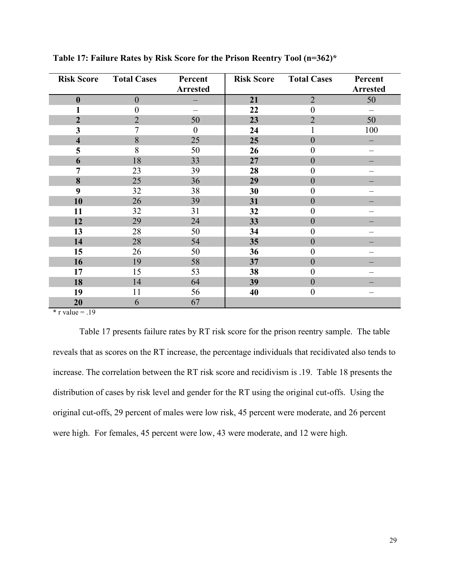| <b>Risk Score</b>       | <b>Total Cases</b> | Percent<br>Arrested | <b>Risk Score</b> | <b>Total Cases</b> | Percent<br><b>Arrested</b> |
|-------------------------|--------------------|---------------------|-------------------|--------------------|----------------------------|
| $\boldsymbol{0}$        | $\overline{0}$     |                     | 21                | $\overline{2}$     | 50                         |
| 1                       | $\theta$           |                     | 22                | $\boldsymbol{0}$   |                            |
| $\boldsymbol{2}$        | $\overline{2}$     | 50                  | 23                | $\overline{2}$     | 50                         |
| 3                       | 7                  | $\theta$            | 24                |                    | 100                        |
| $\overline{\mathbf{4}}$ | 8                  | 25                  | 25                | $\overline{0}$     |                            |
| 5                       | 8                  | 50                  | 26                | $\overline{0}$     |                            |
| 6                       | 18                 | 33                  | 27                | $\boldsymbol{0}$   |                            |
| 7                       | 23                 | 39                  | 28                | $\boldsymbol{0}$   |                            |
| 8                       | 25                 | 36                  | 29                | $\boldsymbol{0}$   |                            |
| 9                       | 32                 | 38                  | 30                | $\boldsymbol{0}$   |                            |
| 10                      | 26                 | 39                  | 31                | $\boldsymbol{0}$   |                            |
| 11                      | 32                 | 31                  | 32                | $\boldsymbol{0}$   |                            |
| 12                      | 29                 | 24                  | 33                | $\boldsymbol{0}$   |                            |
| 13                      | 28                 | 50                  | 34                | $\boldsymbol{0}$   |                            |
| 14                      | 28                 | 54                  | 35                | $\boldsymbol{0}$   |                            |
| 15                      | 26                 | 50                  | 36                | $\boldsymbol{0}$   |                            |
| 16                      | 19                 | 58                  | 37                | $\boldsymbol{0}$   |                            |
| 17                      | 15                 | 53                  | 38                | $\overline{0}$     |                            |
| 18                      | 14                 | 64                  | 39                | $\boldsymbol{0}$   |                            |
| 19                      | 11                 | 56                  | 40                | $\boldsymbol{0}$   |                            |
| 20                      | 6                  | 67                  |                   |                    |                            |

**Table 17: Failure Rates by Risk Score for the Prison Reentry Tool (n=362)\***

 $*$  r value = .19

Table 17 presents failure rates by RT risk score for the prison reentry sample. The table reveals that as scores on the RT increase, the percentage individuals that recidivated also tends to increase. The correlation between the RT risk score and recidivism is .19. Table 18 presents the distribution of cases by risk level and gender for the RT using the original cut-offs. Using the original cut-offs, 29 percent of males were low risk, 45 percent were moderate, and 26 percent were high. For females, 45 percent were low, 43 were moderate, and 12 were high.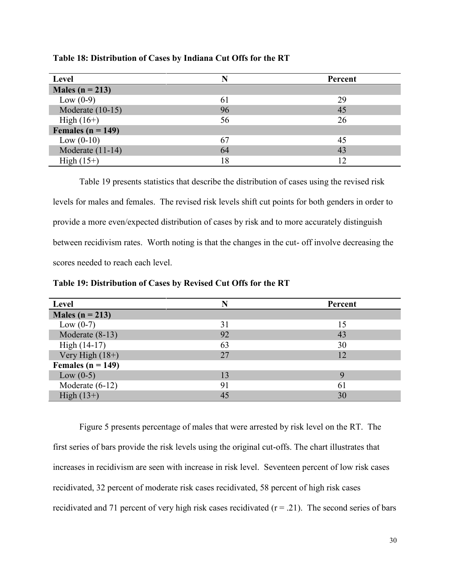| <b>Level</b>          |    | Percent |
|-----------------------|----|---------|
| Males ( $n = 213$ )   |    |         |
| Low $(0-9)$           | 61 | 29      |
| Moderate $(10-15)$    | 96 | 45      |
| High $(16+)$          | 56 | 26      |
| Females ( $n = 149$ ) |    |         |
| Low $(0-10)$          | 67 | 45      |
| Moderate $(11-14)$    | 64 | 43      |
| High $(15+)$          | 18 | 12      |

**Table 18: Distribution of Cases by Indiana Cut Offs for the RT**

Table 19 presents statistics that describe the distribution of cases using the revised risk levels for males and females. The revised risk levels shift cut points for both genders in order to provide a more even/expected distribution of cases by risk and to more accurately distinguish between recidivism rates. Worth noting is that the changes in the cut- off involve decreasing the scores needed to reach each level.

| <b>Level</b>          |    | Percent |
|-----------------------|----|---------|
| Males ( $n = 213$ )   |    |         |
| Low $(0-7)$           | 31 | 15      |
| Moderate (8-13)       | 92 | 43      |
| High (14-17)          | 63 | 30      |
| Very High $(18+)$     | 27 | 12      |
| Females ( $n = 149$ ) |    |         |
| Low $(0-5)$           | 13 | Q       |
| Moderate $(6-12)$     | 91 | 61      |
| High $(13+)$          | 45 | 30      |

**Table 19: Distribution of Cases by Revised Cut Offs for the RT**

Figure 5 presents percentage of males that were arrested by risk level on the RT. The first series of bars provide the risk levels using the original cut-offs. The chart illustrates that increases in recidivism are seen with increase in risk level. Seventeen percent of low risk cases recidivated, 32 percent of moderate risk cases recidivated, 58 percent of high risk cases recidivated and 71 percent of very high risk cases recidivated  $(r = .21)$ . The second series of bars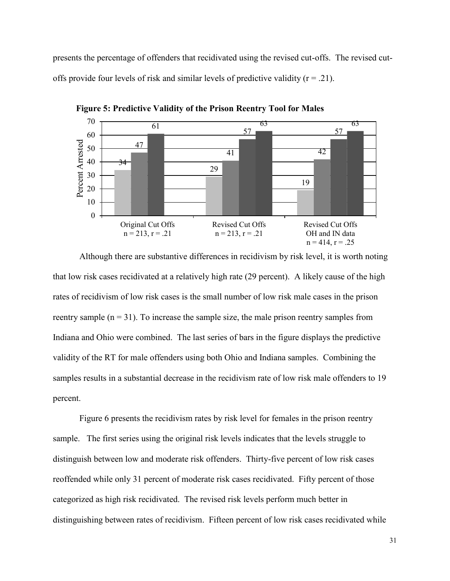presents the percentage of offenders that recidivated using the revised cut-offs. The revised cutoffs provide four levels of risk and similar levels of predictive validity  $(r = .21)$ .



**Figure 5: Predictive Validity of the Prison Reentry Tool for Males** 

Although there are substantive differences in recidivism by risk level, it is worth noting that low risk cases recidivated at a relatively high rate (29 percent). A likely cause of the high rates of recidivism of low risk cases is the small number of low risk male cases in the prison reentry sample  $(n = 31)$ . To increase the sample size, the male prison reentry samples from Indiana and Ohio were combined. The last series of bars in the figure displays the predictive validity of the RT for male offenders using both Ohio and Indiana samples. Combining the samples results in a substantial decrease in the recidivism rate of low risk male offenders to 19 percent.

Figure 6 presents the recidivism rates by risk level for females in the prison reentry sample. The first series using the original risk levels indicates that the levels struggle to distinguish between low and moderate risk offenders. Thirty-five percent of low risk cases reoffended while only 31 percent of moderate risk cases recidivated. Fifty percent of those categorized as high risk recidivated. The revised risk levels perform much better in distinguishing between rates of recidivism. Fifteen percent of low risk cases recidivated while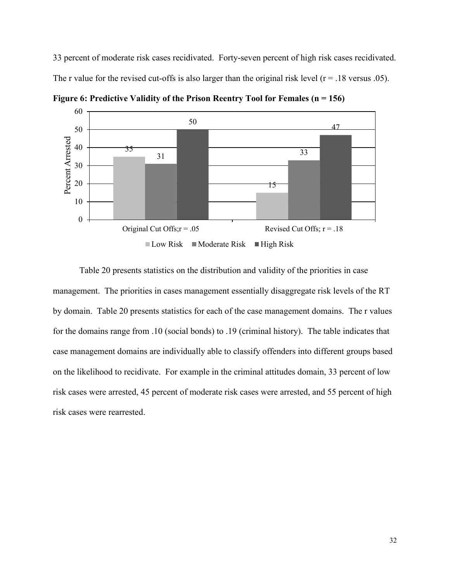33 percent of moderate risk cases recidivated. Forty-seven percent of high risk cases recidivated. The r value for the revised cut-offs is also larger than the original risk level  $(r = .18 \text{ versus } .05)$ .



**Figure 6: Predictive Validity of the Prison Reentry Tool for Females (n = 156)**

Table 20 presents statistics on the distribution and validity of the priorities in case management. The priorities in cases management essentially disaggregate risk levels of the RT by domain. Table 20 presents statistics for each of the case management domains. The r values for the domains range from .10 (social bonds) to .19 (criminal history). The table indicates that case management domains are individually able to classify offenders into different groups based on the likelihood to recidivate. For example in the criminal attitudes domain, 33 percent of low risk cases were arrested, 45 percent of moderate risk cases were arrested, and 55 percent of high risk cases were rearrested.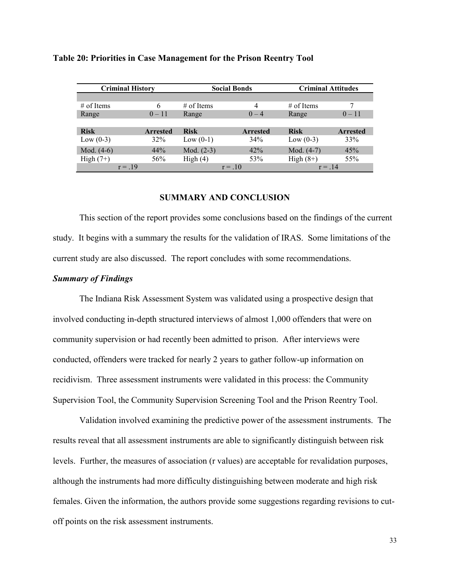| <b>Criminal History</b> |                 | <b>Social Bonds</b> |                 | <b>Criminal Attitudes</b> |                 |
|-------------------------|-----------------|---------------------|-----------------|---------------------------|-----------------|
|                         |                 |                     |                 |                           |                 |
| $#$ of Items            | 6               | $#$ of Items        | 4               | $#$ of Items              | 7               |
| Range                   | $0 - 11$        | Range               | $0 - 4$         | Range                     | $0 - 11$        |
|                         |                 |                     |                 |                           |                 |
| <b>Risk</b>             | <b>Arrested</b> | <b>Risk</b>         | <b>Arrested</b> | <b>Risk</b>               | <b>Arrested</b> |
| Low $(0-3)$             | 32%             | Low $(0-1)$         | 34%             | Low $(0-3)$               | 33%             |
| Mod. $(4-6)$            | 44%             | Mod. $(2-3)$        | 42%             | Mod. $(4-7)$              | 45%             |
| High $(7+)$             | 56%             | High(4)             | 53%             | High $(8+)$               | 55%             |
| $r = 19$                |                 |                     | $r = 10$        | $r = 14$                  |                 |

### **Table 20: Priorities in Case Management for the Prison Reentry Tool**

### **SUMMARY AND CONCLUSION**

This section of the report provides some conclusions based on the findings of the current study. It begins with a summary the results for the validation of IRAS. Some limitations of the current study are also discussed. The report concludes with some recommendations.

### *Summary of Findings*

The Indiana Risk Assessment System was validated using a prospective design that involved conducting in-depth structured interviews of almost 1,000 offenders that were on community supervision or had recently been admitted to prison. After interviews were conducted, offenders were tracked for nearly 2 years to gather follow-up information on recidivism. Three assessment instruments were validated in this process: the Community Supervision Tool, the Community Supervision Screening Tool and the Prison Reentry Tool.

Validation involved examining the predictive power of the assessment instruments. The results reveal that all assessment instruments are able to significantly distinguish between risk levels. Further, the measures of association (r values) are acceptable for revalidation purposes, although the instruments had more difficulty distinguishing between moderate and high risk females. Given the information, the authors provide some suggestions regarding revisions to cutoff points on the risk assessment instruments.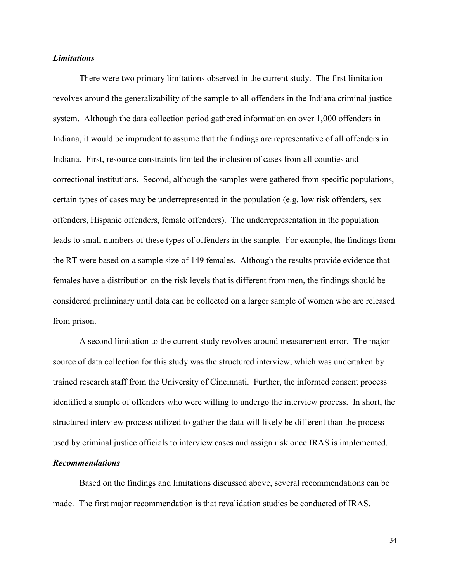### *Limitations*

There were two primary limitations observed in the current study. The first limitation revolves around the generalizability of the sample to all offenders in the Indiana criminal justice system. Although the data collection period gathered information on over 1,000 offenders in Indiana, it would be imprudent to assume that the findings are representative of all offenders in Indiana. First, resource constraints limited the inclusion of cases from all counties and correctional institutions. Second, although the samples were gathered from specific populations, certain types of cases may be underrepresented in the population (e.g. low risk offenders, sex offenders, Hispanic offenders, female offenders). The underrepresentation in the population leads to small numbers of these types of offenders in the sample. For example, the findings from the RT were based on a sample size of 149 females. Although the results provide evidence that females have a distribution on the risk levels that is different from men, the findings should be considered preliminary until data can be collected on a larger sample of women who are released from prison.

A second limitation to the current study revolves around measurement error. The major source of data collection for this study was the structured interview, which was undertaken by trained research staff from the University of Cincinnati. Further, the informed consent process identified a sample of offenders who were willing to undergo the interview process. In short, the structured interview process utilized to gather the data will likely be different than the process used by criminal justice officials to interview cases and assign risk once IRAS is implemented.

## *Recommendations*

Based on the findings and limitations discussed above, several recommendations can be made. The first major recommendation is that revalidation studies be conducted of IRAS.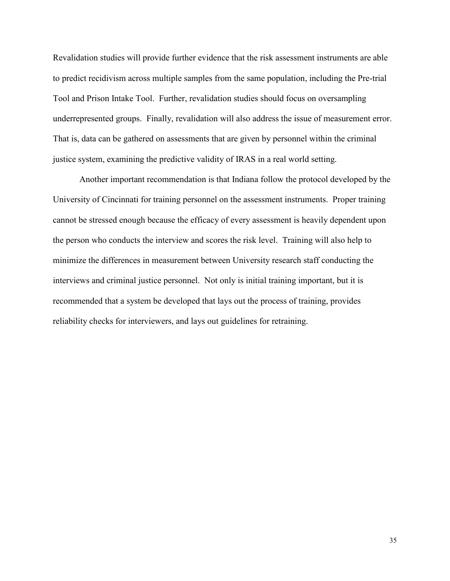Revalidation studies will provide further evidence that the risk assessment instruments are able to predict recidivism across multiple samples from the same population, including the Pre-trial Tool and Prison Intake Tool. Further, revalidation studies should focus on oversampling underrepresented groups. Finally, revalidation will also address the issue of measurement error. That is, data can be gathered on assessments that are given by personnel within the criminal justice system, examining the predictive validity of IRAS in a real world setting.

Another important recommendation is that Indiana follow the protocol developed by the University of Cincinnati for training personnel on the assessment instruments. Proper training cannot be stressed enough because the efficacy of every assessment is heavily dependent upon the person who conducts the interview and scores the risk level. Training will also help to minimize the differences in measurement between University research staff conducting the interviews and criminal justice personnel. Not only is initial training important, but it is recommended that a system be developed that lays out the process of training, provides reliability checks for interviewers, and lays out guidelines for retraining.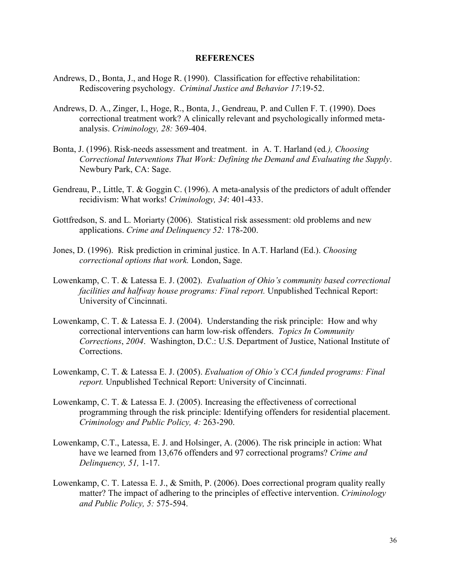### **REFERENCES**

- Andrews, D., Bonta, J., and Hoge R. (1990). Classification for effective rehabilitation: Rediscovering psychology. *Criminal Justice and Behavior 17*:19-52.
- Andrews, D. A., Zinger, I., Hoge, R., Bonta, J., Gendreau, P. and Cullen F. T. (1990). Does correctional treatment work? A clinically relevant and psychologically informed metaanalysis. *Criminology, 28:* 369-404.
- Bonta, J. (1996). Risk-needs assessment and treatment. in A. T. Harland (ed*.), Choosing Correctional Interventions That Work: Defining the Demand and Evaluating the Supply*. Newbury Park, CA: Sage.
- Gendreau, P., Little, T. & Goggin C. (1996). A meta-analysis of the predictors of adult offender recidivism: What works! *Criminology, 34*: 401-433.
- Gottfredson, S. and L. Moriarty (2006). Statistical risk assessment: old problems and new applications. *Crime and Delinquency 52:* 178-200.
- Jones, D. (1996). Risk prediction in criminal justice. In A.T. Harland (Ed.). *Choosing correctional options that work.* London, Sage.
- Lowenkamp, C. T. & Latessa E. J. (2002). *Evaluation of Ohio's community based correctional facilities and halfway house programs: Final report.* Unpublished Technical Report: University of Cincinnati.
- Lowenkamp, C. T. & Latessa E. J. (2004). Understanding the risk principle: How and why correctional interventions can harm low-risk offenders. *Topics In Community Corrections*, *2004*. Washington, D.C.: U.S. Department of Justice, National Institute of Corrections.
- Lowenkamp, C. T. & Latessa E. J. (2005). *Evaluation of Ohio's CCA funded programs: Final report.* Unpublished Technical Report: University of Cincinnati.
- Lowenkamp, C. T. & Latessa E. J. (2005). Increasing the effectiveness of correctional programming through the risk principle: Identifying offenders for residential placement. *Criminology and Public Policy, 4:* 263-290.
- Lowenkamp, C.T., Latessa, E. J. and Holsinger, A. (2006). The risk principle in action: What have we learned from 13,676 offenders and 97 correctional programs? *Crime and Delinquency, 51,* 1-17.
- Lowenkamp, C. T. Latessa E. J., & Smith, P. (2006). Does correctional program quality really matter? The impact of adhering to the principles of effective intervention. *Criminology and Public Policy, 5:* 575-594.